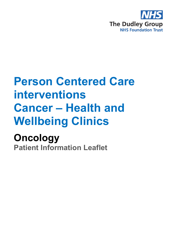

# **Person Centered Care interventions Cancer – Health and Wellbeing Clinics**

## **Oncology Patient Information Leaflet**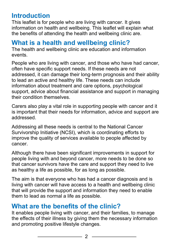## **Introduction**

This leaflet is for people who are living with cancer. It gives information on health and wellbeing. This leaflet will explain what the benefits of attending the health and wellbeing clinic are.

#### **What is a health and wellbeing clinic?**

The health and wellbeing clinic are education and information events.

People who are living with cancer, and those who have had cancer, often have specific support needs. If these needs are not addressed, it can damage their long-term prognosis and their ability to lead an active and healthy life. These needs can include information about treatment and care options, psychological support, advice about financial assistance and support in managing their condition themselves.

Carers also play a vital role in supporting people with cancer and it is important that their needs for information, advice and support are addressed.

Addressing all these needs is central to the National Cancer Survivorship Initiative (NCSI), which is coordinating efforts to improve the quality of services available to people affected by cancer.

Although there have been significant improvements in support for people living with and beyond cancer, more needs to be done so that cancer survivors have the care and support they need to live as healthy a life as possible, for as long as possible.

The aim is that everyone who has had a cancer diagnosis and is living with cancer will have access to a health and wellbeing clinic that will provide the support and information they need to enable them to lead as normal a life as possible.

#### **What are the benefits of the clinic?**

It enables people living with cancer, and their families, to manage the effects of their illness by giving them the necessary information and promoting positive lifestyle changes.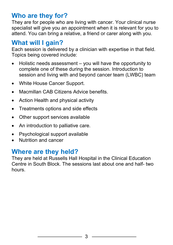## **Who are they for?**

They are for people who are living with cancer. Your clinical nurse specialist will give you an appointment when it is relevant for you to attend. You can bring a relative, a friend or carer along with you.

#### **What will I gain?**

Each session is delivered by a clinician with expertise in that field. Topics being covered include:

- Holistic needs assessment  $-$  you will have the opportunity to complete one of these during the session. Introduction to session and living with and beyond cancer team (LWBC) team
- White House Cancer Support.
- Macmillan CAB Citizens Advice benefits.
- Action Health and physical activity
- Treatments options and side effects
- Other support services available
- An introduction to palliative care.
- Psychological support available
- Nutrition and cancer

#### **Where are they held?**

They are held at Russells Hall Hospital in the Clinical Education Centre in South Block. The sessions last about one and half- two hours.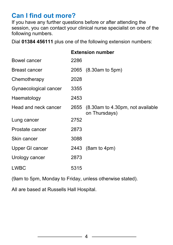## **Can I find out more?**

If you have any further questions before or after attending the session, you can contact your clinical nurse specialist on one of the following numbers.

Dial **01384 456111** plus one of the following extension numbers:

|                       | <b>Extension number</b> |                                                        |
|-----------------------|-------------------------|--------------------------------------------------------|
| Bowel cancer          | 2286                    |                                                        |
| Breast cancer         |                         | 2065 (8.30am to 5pm)                                   |
| Chemotherapy          | 2028                    |                                                        |
| Gynaecological cancer | 3355                    |                                                        |
| Haematology           | 2453                    |                                                        |
| Head and neck cancer  |                         | 2655 (8.30am to 4.30pm, not available<br>on Thursdays) |
| Lung cancer           | 2752                    |                                                        |
| Prostate cancer       | 2873                    |                                                        |
| Skin cancer           | 3088                    |                                                        |
| Upper GI cancer       |                         | 2443 (8am to 4pm)                                      |
| Urology cancer        | 2873                    |                                                        |
| <b>LWBC</b>           | 5315                    |                                                        |

(9am to 5pm, Monday to Friday, unless otherwise stated).

All are based at Russells Hall Hospital.